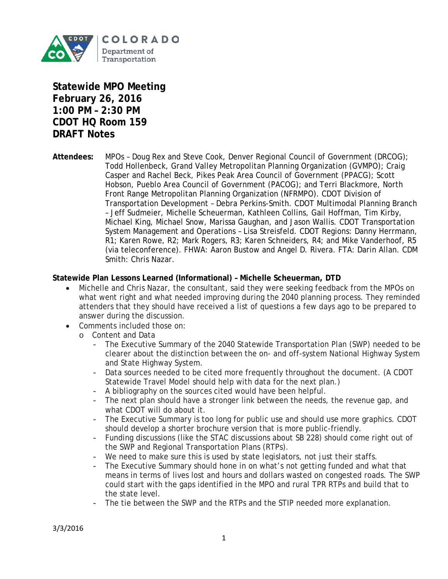

**Statewide MPO Meeting February 26, 2016 1:00 PM – 2:30 PM CDOT HQ Room 159 DRAFT Notes**

**Attendees:** MPOs – Doug Rex and Steve Cook, Denver Regional Council of Government (DRCOG); Todd Hollenbeck, Grand Valley Metropolitan Planning Organization (GVMPO); Craig Casper and Rachel Beck, Pikes Peak Area Council of Government (PPACG); Scott Hobson, Pueblo Area Council of Government (PACOG); and Terri Blackmore, North Front Range Metropolitan Planning Organization (NFRMPO). CDOT Division of Transportation Development – Debra Perkins-Smith. CDOT Multimodal Planning Branch – Jeff Sudmeier, Michelle Scheuerman, Kathleen Collins, Gail Hoffman, Tim Kirby, Michael King, Michael Snow, Marissa Gaughan, and Jason Wallis. CDOT Transportation System Management and Operations – Lisa Streisfeld. CDOT Regions: Danny Herrmann, R1; Karen Rowe, R2; Mark Rogers, R3; Karen Schneiders, R4; and Mike Vanderhoof, R5 (via teleconference). FHWA: Aaron Bustow and Angel D. Rivera. FTA: Darin Allan. CDM Smith: Chris Nazar.

#### **Statewide Plan Lessons Learned (Informational) – Michelle Scheuerman, DTD**

- Michelle and Chris Nazar, the consultant, said they were seeking feedback from the MPOs on what went right and what needed improving during the 2040 planning process. They reminded attenders that they should have received a list of questions a few days ago to be prepared to answer during the discussion.
- Comments included those on:
	- o Content and Data
		- The Executive Summary of the 2040 Statewide Transportation Plan (SWP) needed to be clearer about the distinction between the on- and off-system National Highway System and State Highway System.
		- Data sources needed to be cited more frequently throughout the document. (A CDOT Statewide Travel Model should help with data for the next plan.)
		- A bibliography on the sources cited would have been helpful.
		- The next plan should have a stronger link between the needs, the revenue gap, and what CDOT will do about it.
		- The Executive Summary is too long for public use and should use more graphics. CDOT should develop a shorter brochure version that is more public-friendly.
		- Funding discussions (like the STAC discussions about SB 228) should come right out of the SWP and Regional Transportation Plans (RTPs).
		- We need to make sure this is used by state legislators, not just their staffs.
		- The Executive Summary should hone in on what's not getting funded and what that means in terms of lives lost and hours and dollars wasted on congested roads. The SWP could start with the gaps identified in the MPO and rural TPR RTPs and build that to the state level.
		- The tie between the SWP and the RTPs and the STIP needed more explanation.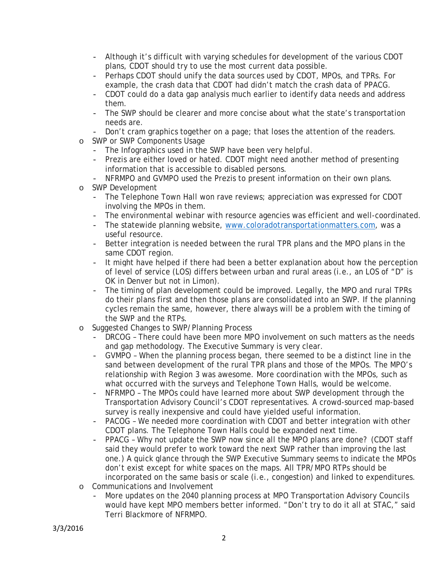- Although it's difficult with varying schedules for development of the various CDOT plans, CDOT should try to use the most current data possible.
- Perhaps CDOT should unify the data sources used by CDOT, MPOs, and TPRs. For example, the crash data that CDOT had didn't match the crash data of PPACG.
- CDOT could do a data gap analysis much earlier to identify data needs and address them.
- The SWP should be clearer and more concise about what the state's transportation needs are.
- Don't cram graphics together on a page; that loses the attention of the readers.
- o SWP or SWP Components Usage
	- The Infographics used in the SWP have been very helpful.
	- Prezis are either loved or hated. CDOT might need another method of presenting information that is accessible to disabled persons.
	- NFRMPO and GVMPO used the Prezis to present information on their own plans.
- o SWP Development
	- The Telephone Town Hall won rave reviews; appreciation was expressed for CDOT involving the MPOs in them.
	- The environmental webinar with resource agencies was efficient and well-coordinated.
	- The statewide planning website, [www.coloradotransportationmatters.com,](http://www.coloradotransportationmatters.com/) was a useful resource.
	- Better integration is needed between the rural TPR plans and the MPO plans in the same CDOT region.
	- It might have helped if there had been a better explanation about how the perception of level of service (LOS) differs between urban and rural areas (i.e., an LOS of "D" is OK in Denver but not in Limon).
	- The timing of plan development could be improved. Legally, the MPO and rural TPRs do their plans first and then those plans are consolidated into an SWP. If the planning cycles remain the same, however, there always will be a problem with the timing of the SWP and the RTPs.
- o Suggested Changes to SWP/Planning Process
	- DRCOG There could have been more MPO involvement on such matters as the needs and gap methodology. The Executive Summary is very clear.
	- GVMPO When the planning process began, there seemed to be a distinct line in the sand between development of the rural TPR plans and those of the MPOs. The MPO's relationship with Region 3 was awesome. More coordination with the MPOs, such as what occurred with the surveys and Telephone Town Halls, would be welcome.
	- NFRMPO The MPOs could have learned more about SWP development through the Transportation Advisory Council's CDOT representatives. A crowd-sourced map-based survey is really inexpensive and could have yielded useful information.
	- PACOG We needed more coordination with CDOT and better integration with other CDOT plans. The Telephone Town Halls could be expanded next time.
	- PPACG Why not update the SWP now since all the MPO plans are done? (CDOT staff said they would prefer to work toward the next SWP rather than improving the last one.) A quick glance through the SWP Executive Summary seems to indicate the MPOs don't exist except for white spaces on the maps. All TPR/MPO RTPs should be incorporated on the same basis or scale (i.e., congestion) and linked to expenditures.
- o Communications and Involvement
	- More updates on the 2040 planning process at MPO Transportation Advisory Councils would have kept MPO members better informed. "Don't try to do it all at STAC," said Terri Blackmore of NFRMPO.